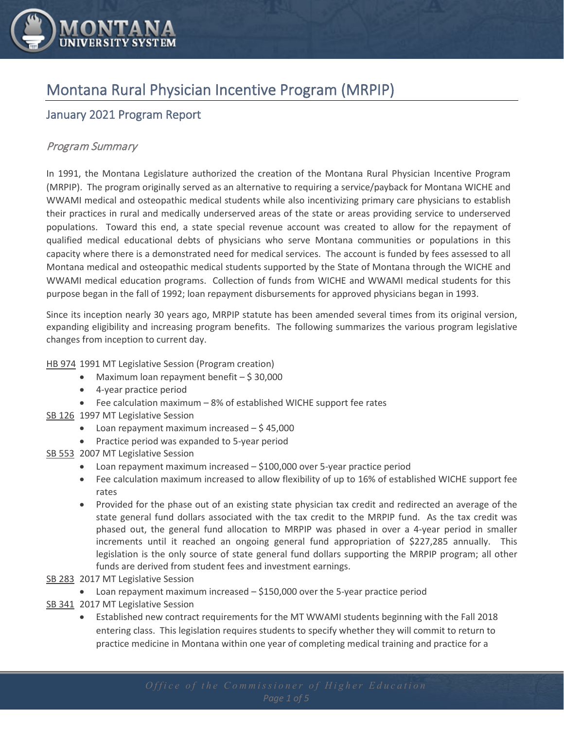

# Montana Rural Physician Incentive Program (MRPIP)

# January 2021 Program Report

#### Program Summary

In 1991, the Montana Legislature authorized the creation of the Montana Rural Physician Incentive Program (MRPIP). The program originally served as an alternative to requiring a service/payback for Montana WICHE and WWAMI medical and osteopathic medical students while also incentivizing primary care physicians to establish their practices in rural and medically underserved areas of the state or areas providing service to underserved populations. Toward this end, a state special revenue account was created to allow for the repayment of qualified medical educational debts of physicians who serve Montana communities or populations in this capacity where there is a demonstrated need for medical services. The account is funded by fees assessed to all Montana medical and osteopathic medical students supported by the State of Montana through the WICHE and WWAMI medical education programs. Collection of funds from WICHE and WWAMI medical students for this purpose began in the fall of 1992; loan repayment disbursements for approved physicians began in 1993.

Since its inception nearly 30 years ago, MRPIP statute has been amended several times from its original version, expanding eligibility and increasing program benefits. The following summarizes the various program legislative changes from inception to current day.

#### HB 974 1991 MT Legislative Session (Program creation)

- Maximum loan repayment benefit  $-$  \$ 30,000
- 4-year practice period
- Fee calculation maximum 8% of established WICHE support fee rates
- SB 126 1997 MT Legislative Session
	- Loan repayment maximum increased  $-$  \$45,000
	- Practice period was expanded to 5-year period

#### SB 553 2007 MT Legislative Session

- Loan repayment maximum increased \$100,000 over 5-year practice period
- Fee calculation maximum increased to allow flexibility of up to 16% of established WICHE support fee rates
- Provided for the phase out of an existing state physician tax credit and redirected an average of the state general fund dollars associated with the tax credit to the MRPIP fund. As the tax credit was phased out, the general fund allocation to MRPIP was phased in over a 4-year period in smaller increments until it reached an ongoing general fund appropriation of \$227,285 annually. This legislation is the only source of state general fund dollars supporting the MRPIP program; all other funds are derived from student fees and investment earnings.
- SB 283 2017 MT Legislative Session
	- Loan repayment maximum increased \$150,000 over the 5-year practice period
- SB 341 2017 MT Legislative Session
	- Established new contract requirements for the MT WWAMI students beginning with the Fall 2018 entering class. This legislation requires students to specify whether they will commit to return to practice medicine in Montana within one year of completing medical training and practice for a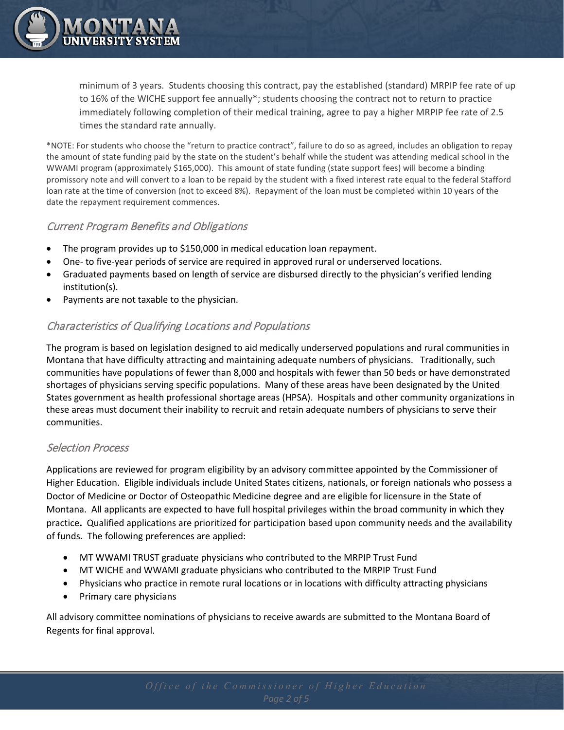

minimum of 3 years. Students choosing this contract, pay the established (standard) MRPIP fee rate of up to 16% of the WICHE support fee annually\*; students choosing the contract not to return to practice immediately following completion of their medical training, agree to pay a higher MRPIP fee rate of 2.5 times the standard rate annually.

\*NOTE: For students who choose the "return to practice contract", failure to do so as agreed, includes an obligation to repay the amount of state funding paid by the state on the student's behalf while the student was attending medical school in the WWAMI program (approximately \$165,000). This amount of state funding (state support fees) will become a binding promissory note and will convert to a loan to be repaid by the student with a fixed interest rate equal to the federal Stafford loan rate at the time of conversion (not to exceed 8%). Repayment of the loan must be completed within 10 years of the date the repayment requirement commences.

#### Current Program Benefits and Obligations

- The program provides up to \$150,000 in medical education loan repayment.
- One- to five-year periods of service are required in approved rural or underserved locations.
- Graduated payments based on length of service are disbursed directly to the physician's verified lending institution(s).
- Payments are not taxable to the physician.

#### Characteristics of Qualifying Locations and Populations

The program is based on legislation designed to aid medically underserved populations and rural communities in Montana that have difficulty attracting and maintaining adequate numbers of physicians. Traditionally, such communities have populations of fewer than 8,000 and hospitals with fewer than 50 beds or have demonstrated shortages of physicians serving specific populations. Many of these areas have been designated by the United States government as health professional shortage areas (HPSA). Hospitals and other community organizations in these areas must document their inability to recruit and retain adequate numbers of physicians to serve their communities.

#### Selection Process

Applications are reviewed for program eligibility by an advisory committee appointed by the Commissioner of Higher Education. Eligible individuals include United States citizens, nationals, or foreign nationals who possess a Doctor of Medicine or Doctor of Osteopathic Medicine degree and are eligible for licensure in the State of Montana. All applicants are expected to have full hospital privileges within the broad community in which they practice**.** Qualified applications are prioritized for participation based upon community needs and the availability of funds. The following preferences are applied:

- MT WWAMI TRUST graduate physicians who contributed to the MRPIP Trust Fund
- MT WICHE and WWAMI graduate physicians who contributed to the MRPIP Trust Fund
- Physicians who practice in remote rural locations or in locations with difficulty attracting physicians
- Primary care physicians

All advisory committee nominations of physicians to receive awards are submitted to the Montana Board of Regents for final approval.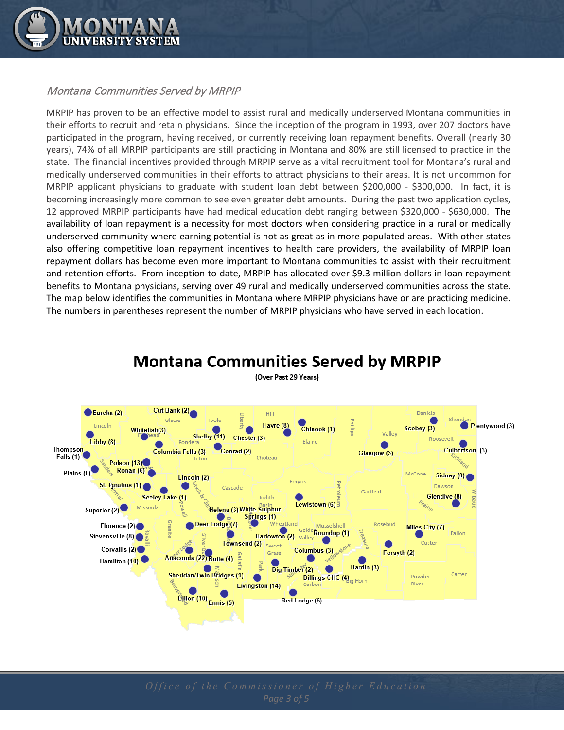

#### Montana Communities Served by MRPIP

MRPIP has proven to be an effective model to assist rural and medically underserved Montana communities in their efforts to recruit and retain physicians. Since the inception of the program in 1993, over 207 doctors have participated in the program, having received, or currently receiving loan repayment benefits. Overall (nearly 30 years), 74% of all MRPIP participants are still practicing in Montana and 80% are still licensed to practice in the state. The financial incentives provided through MRPIP serve as a vital recruitment tool for Montana's rural and medically underserved communities in their efforts to attract physicians to their areas. It is not uncommon for MRPIP applicant physicians to graduate with student loan debt between \$200,000 - \$300,000. In fact, it is becoming increasingly more common to see even greater debt amounts. During the past two application cycles, 12 approved MRPIP participants have had medical education debt ranging between \$320,000 - \$630,000. The availability of loan repayment is a necessity for most doctors when considering practice in a rural or medically underserved community where earning potential is not as great as in more populated areas. With other states also offering competitive loan repayment incentives to health care providers, the availability of MRPIP loan repayment dollars has become even more important to Montana communities to assist with their recruitment and retention efforts. From inception to-date, MRPIP has allocated over \$9.3 million dollars in loan repayment benefits to Montana physicians, serving over 49 rural and medically underserved communities across the state. The map below identifies the communities in Montana where MRPIP physicians have or are practicing medicine. The numbers in parentheses represent the number of MRPIP physicians who have served in each location.



### **Montana Communities Served by MRPIP** (Over Past 29 Years)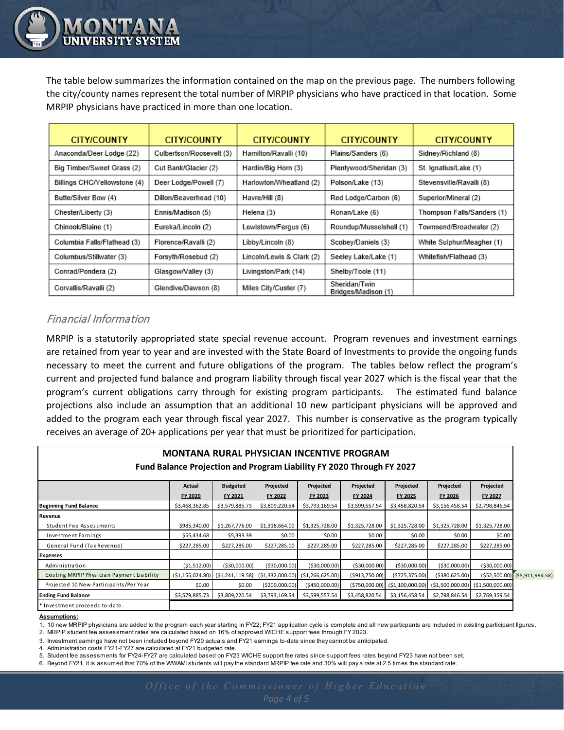The table below summarizes the information contained on the map on the previous page. The numbers following the city/county names represent the total number of MRPIP physicians who have practiced in that location. Some MRPIP physicians have practiced in more than one location.

| <b>CITY/COUNTY</b>           | <b>CITY/COUNTY</b>       | <b>CITY/COUNTY</b>        | <b>CITY/COUNTY</b>                   | <b>CITY/COUNTY</b>         |  |  |
|------------------------------|--------------------------|---------------------------|--------------------------------------|----------------------------|--|--|
| Anaconda/Deer Lodge (22)     | Culbertson/Roosevelt (3) | Hamilton/Ravalli (10)     | Plains/Sanders (6)                   | Sidney/Richland (8)        |  |  |
| Big Timber/Sweet Grass (2)   | Cut Bank/Glacier (2)     | Hardin/Big Horn (3)       | Plentywood/Sheridan (3)              | St. Ignatius/Lake (1)      |  |  |
| Billings CHC/Yellowstone (4) | Deer Lodge/Powell (7)    | Harlowton/Wheatland (2)   | Polson/Lake (13)                     | Stevensville/Ravalli (8)   |  |  |
| Butte/Silver Bow (4)         | Dillon/Beaverhead (10)   | Havre/Hill (8)            | Red Lodge/Carbon (6)                 | Superior/Mineral (2)       |  |  |
| Chester/Liberty (3)          | Ennis/Madison (5)        | Helena (3)                | Ronan/Lake (6)                       | Thompson Falls/Sanders (1) |  |  |
| Chinook/Blaine (1)           | Eureka/Lincoln (2)       | Lewistown/Fergus (6)      | Roundup/Musselshell (1)              | Townsend/Broadwater (2)    |  |  |
| Columbia Falls/Flathead (3)  | Florence/Ravalli (2)     | Libby/Lincoln (8)         | Scobey/Daniels (3)                   | White Sulphur/Meagher (1)  |  |  |
| Columbus/Stillwater (3)      | Forsyth/Rosebud (2)      | Lincoln/Lewis & Clark (2) | Seeley Lake/Lake (1)                 | Whitefish/Flathead (3)     |  |  |
| Conrad/Pondera (2)           | Glasgow/Valley (3)       | Livingston/Park (14)      | Shelby/Toole (11)                    |                            |  |  |
| Corvallis/Ravalli (2)        | Glendive/Dawson (8)      | Miles City/Custer (7)     | Sheridan/Twin<br>Bridges/Madison (1) |                            |  |  |

## Financial Information

MRPIP is a statutorily appropriated state special revenue account. Program revenues and investment earnings are retained from year to year and are invested with the State Board of Investments to provide the ongoing funds necessary to meet the current and future obligations of the program. The tables below reflect the program's current and projected fund balance and program liability through fiscal year 2027 which is the fiscal year that the program's current obligations carry through for existing program participants. The estimated fund balance projections also include an assumption that an additional 10 new participant physicians will be approved and added to the program each year through fiscal year 2027. This number is conservative as the program typically receives an average of 20+ applications per year that must be prioritized for participation.

| <b>MONTANA RURAL PHYSICIAN INCENTIVE PROGRAM</b><br>Fund Balance Projection and Program Liability FY 2020 Through FY 2027 |                |                                         |                   |                   |                 |                |                                                     |                                  |  |
|---------------------------------------------------------------------------------------------------------------------------|----------------|-----------------------------------------|-------------------|-------------------|-----------------|----------------|-----------------------------------------------------|----------------------------------|--|
|                                                                                                                           | Actual         | <b>Budgeted</b>                         | Projected         | Projected         | Projected       | Projected      | Projected                                           | Projected                        |  |
|                                                                                                                           | FY 2020        | FY 2021                                 | <b>FY 2022</b>    | FY 2023           | FY 2024         | FY 2025        | <b>FY 2026</b>                                      | <b>FY 2027</b>                   |  |
| <b>Beginning Fund Balance</b>                                                                                             | \$3,468,362.85 | \$3,579,885.73                          | \$3,809,220.54    | \$3,793,169.54    | \$3,599,557.54  | \$3,458,820.54 | \$3,156,458.54                                      | \$2,798,846.54                   |  |
| Revenue                                                                                                                   |                |                                         |                   |                   |                 |                |                                                     |                                  |  |
| <b>Student Fee Assessments</b>                                                                                            | \$985,340.00   | \$1,267,776.00                          | \$1,318,664.00    | \$1,325,728.00    | \$1,325,728.00  | \$1,325,728.00 | \$1,325,728.00                                      | \$1,325,728.00                   |  |
| <b>Investment Earnings</b>                                                                                                | \$55,434.68    | \$5,393.39                              | \$0.00            | \$0.00            | \$0.00          | \$0.00         | \$0.00                                              | \$0.00                           |  |
| General Fund (Tax Revenue)                                                                                                | \$227,285.00   | \$227,285.00                            | \$227,285.00      | \$227,285.00      | \$227,285.00    | \$227,285.00   | \$227,285.00                                        | \$227,285.00                     |  |
| <b>Expenses</b>                                                                                                           |                |                                         |                   |                   |                 |                |                                                     |                                  |  |
| Administration                                                                                                            | ( \$1,512.00)  | ( \$30,000.00]                          | ( \$30,000.00)    | ( \$30,000.00]    | ( \$30,000.00)  | ( \$30,000.00] | ( \$30,000.00)                                      | ( \$30,000.00)                   |  |
| Existing MRPIP Physician Payment Liability                                                                                |                | $(51, 155, 024.80)$ $(51, 241, 119.58)$ | ( \$1,332,000.00) | ( \$1,266,625.00) | ( \$913,750.00) | (\$725,375.00) | ( \$380, 625.00)                                    | $(552,500.00)$ $(55,911,994.58)$ |  |
| Projected 10 New Participants/Per Year                                                                                    | \$0.00         | \$0.00                                  | ( \$200,000.00)   | ( \$450,000.00]   |                 |                | $(5750,000.00)$ $(51,100,000.00)$ $(51,500,000.00)$ | ( \$1,500,000.00)                |  |
| <b>Ending Fund Balance</b>                                                                                                | \$3,579,885.73 | \$3,809,220.54                          | \$3,793,169.54    | \$3,599,557.54    | \$3,458,820.54  | \$3,156,458.54 | \$2,798,846.54                                      | \$2,769,359.54                   |  |
| Investment proceeds to-date.                                                                                              |                |                                         |                   |                   |                 |                |                                                     |                                  |  |

#### **Assumptions:**

1. 10 new MRPIP physicians are added to the program each year starting in FY22; FY21 application cycle is complete and all new particpants are included in existing participant figures. 2. MRPIP student fee assessment rates are calculated based on 16% of approved WICHE support fees through FY 2023.

3. Investment earnings have not been included beyond FY20 actuals and FY21 earnings to-date since they cannot be anticipated.

4. Administration costs FY21-FY27 are calculated at FY21 budgeted rate.

5. Student fee assessments for FY24-FY27 are calculated based on FY23 WICHE support fee rates since support fees rates beyond FY23 have not been set.

6. Beyond FY21, it is assumed that 70% of the WWAMI students will pay the standard MRPIP fee rate and 30% will pay a rate at 2.5 times the standard rate.